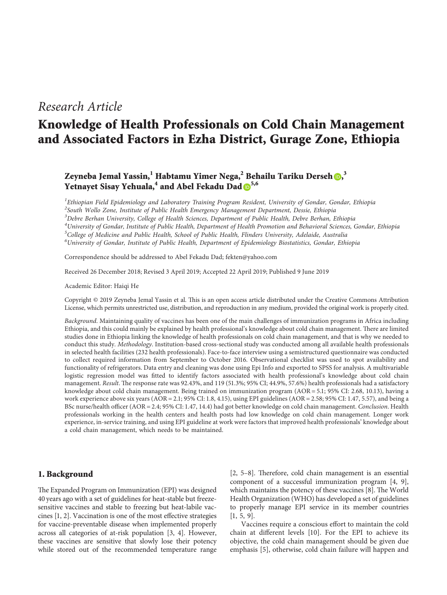# *Research Article*

# **Knowledge of Health Professionals on Cold Chain Management and Associated Factors in Ezha District, Gurage Zone, Ethiopia**

# **Zeyneba Jemal Yassin,<sup>1</sup> Habtamu Yimer Nega,<sup>2</sup> Behailu Tariku Derseh [,](http://orcid.org/0000-0003-1463-7654) 3 Yetnayet Sisay Yehuala,4 and Abel Fekadu Dad [5](http://orcid.org/0000-0001-9967-7713),6**

 *Ethiopian Field Epidemiology and Laboratory Training Program Resident, University of Gondar, Gondar, Ethiopia South Wollo Zone, Institute of Public Health Emergency Management Department, Dessie, Ethiopia Debre Berhan University, College of Health Sciences, Department of Public Health, Debre Berhan, Ethiopia University of Gondar, Institute of Public Health, Department of Health Promotion and Behavioral Sciences, Gondar, Ethiopia College of Medicine and Public Health, School of Public Health, Flinders University, Adelaide, Australia University of Gondar, Institute of Public Health, Department of Epidemiology Biostatistics, Gondar, Ethiopia*

Correspondence should be addressed to Abel Fekadu Dad; [fekten@yahoo.com](mailto:fekten@yahoo.com)

Received 26 December 2018; Revised 3 April 2019; Accepted 22 April 2019; Published 9 June 2019

Academic Editor: Haiqi He

Copyright © 2019 Zeyneba Jemal Yassin et al. This is an open access article distributed under the [Creative Commons Attribution](https://creativecommons.org/licenses/by/4.0/) [License,](https://creativecommons.org/licenses/by/4.0/) which permits unrestricted use, distribution, and reproduction in any medium, provided the original work is properly cited.

*Background*. Maintaining quality of vaccines has been one of the main challenges of immunization programs in Africa including Ethiopia, and this could mainly be explained by health professional's knowledge about cold chain management. There are limited studies done in Ethiopia linking the knowledge of health professionals on cold chain management, and that is why we needed to conduct this study. *Methodology*. Institution-based cross-sectional study was conducted among all available health professionals in selected health facilities (232 health professionals). Face-to-face interview using a semistructured questionnaire was conducted to collect required information from September to October 2016. Observational checklist was used to spot availability and functionality of refrigerators. Data entry and cleaning was done using Epi Info and exported to SPSS for analysis. A multivariable logistic regression model was fitted to identify factors associated with health professional's knowledge about cold chain management. *Result*. The response rate was 92.43%, and 119 (51.3%; 95% CI; 44.9%, 57.6%) health professionals had a satisfactory knowledge about cold chain management. Being trained on immunization program  $(AOR = 5.1; 95\% \text{ CI: } 2.68, 10.13)$ , having a work experience above six years ( $AOR = 2.1$ ; 95% CI: 1.8, 4.15), using EPI guidelines ( $AOR = 2.58$ ; 95% CI: 1.47, 5.57), and being a BSc nurse/health officer (AOR � 2.4; 95% CI: 1.47, 14.4) had got better knowledge on cold chain management. *Conclusion*. Health professionals working in the health centers and health posts had low knowledge on cold chain management. Longer work experience, in-service training, and using EPI guideline at work were factors that improved health professionals' knowledge about a cold chain management, which needs to be maintained.

## **1. Background**

The Expanded Program on Immunization (EPI) was designed 40 years ago with a set of guidelines for heat-stable but freezesensitive vaccines and stable to freezing but heat-labile vaccines [\[1, 2\]](#page-6-0). Vaccination is one of the most effective strategies for vaccine-preventable disease when implemented properly across all categories of at-risk population [[3](#page-6-0), [4](#page-6-0)]. However, these vaccines are sensitive that slowly lose their potency while stored out of the recommended temperature range

 $[2, 5-8]$ . Therefore, cold chain management is an essential component of a successful immunization program [\[4, 9](#page-6-0)], which maintains the potency of these vaccines [\[8\]](#page-6-0). The World Health Organization (WHO) has developed a set of guidelines to properly manage EPI service in its member countries [\[1, 5, 9\]](#page-6-0).

Vaccines require a conscious effort to maintain the cold chain at different levels [\[10](#page-6-0)]. For the EPI to achieve its objective, the cold chain management should be given due emphasis [[5](#page-6-0)], otherwise, cold chain failure will happen and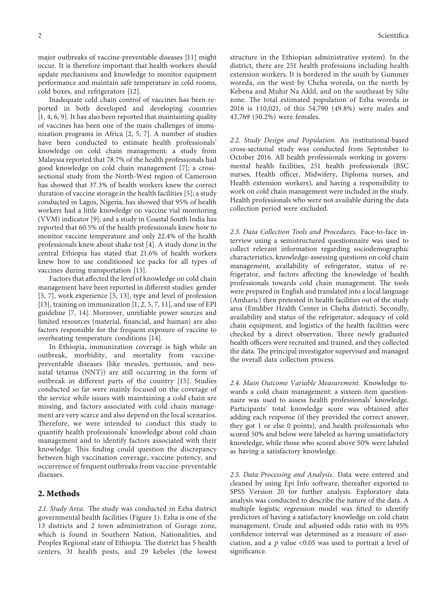major outbreaks of vaccine-preventable diseases [[11\]](#page-6-0) might occur. It is therefore important that health workers should update mechanisms and knowledge to monitor equipment performance and maintain safe temperature in cold rooms, cold boxes, and refrigerators [[12\]](#page-6-0).

Inadequate cold chain control of vaccines has been reported in both developed and developing countries [\[1, 4, 6](#page-6-0), [9](#page-6-0)]. It has also been reported that maintaining quality of vaccines has been one of the main challenges of immunization programs in Africa [[2, 5](#page-6-0), [7\]](#page-6-0). A number of studies have been conducted to estimate health professionals' knowledge on cold chain management: a study from Malaysia reported that 78.7% of the health professionals had good knowledge on cold chain management [\[7\]](#page-6-0); a crosssectional study from the North-West region of Cameroon has showed that 37.3% of health workers knew the correct duration of vaccine storage in the health facilities [\[5](#page-6-0)]; a study conducted in Lagos, Nigeria, has showed that 95% of health workers had a little knowledge on vaccine vial monitoring (VVM) indicator [\[9\]](#page-6-0); and a study in Coastal South India has reported that 60.5% of the health professionals knew how to monitor vaccine temperature and only 22.4% of the health professionals knew about shake test [\[4](#page-6-0)]. A study done in the central Ethiopia has stated that 21.6% of health workers knew how to use conditioned ice packs for all types of vaccines during transportation [[13\]](#page-6-0).

Factors that affected the level of knowledge on cold chain management have been reported in different studies: gender [\[5](#page-6-0), [7](#page-6-0)], work experience [[5, 13](#page-6-0)], type and level of profession [\[13](#page-6-0)], training on immunization [[1, 2, 5](#page-6-0), [7](#page-6-0), [11](#page-6-0)], and use of EPI guideline [\[7, 14](#page-6-0)]. Moreover, unreliable power sources and limited resources (material, financial, and human) are also factors responsible for the frequent exposure of vaccine to overheating temperature conditions [[14\]](#page-6-0).

In Ethiopia, immunization coverage is high while an outbreak, morbidity, and mortality from vaccinepreventable diseases (like measles, pertussis, and neonatal tetanus (NNT)) are still occurring in the form of outbreak in different parts of the country [[15\]](#page-6-0). Studies conducted so far were mainly focused on the coverage of the service while issues with maintaining a cold chain are missing, and factors associated with cold chain management are very scarce and also depend on the local scenarios. Therefore, we were intended to conduct this study to quantify health professionals' knowledge about cold chain management and to identify factors associated with their knowledge. This finding could question the discrepancy between high vaccination coverage, vaccine potency, and occurrence of frequent outbreaks from vaccine-preventable diseases.

#### **2. Methods**

2.1. Study Area. The study was conducted in Ezha district governmental health facilities (Figure [1](#page-2-0)). Ezha is one of the 13 districts and 2 town administration of Gurage zone, which is found in Southern Nation, Nationalities, and Peoples Regional state of Ethiopia. The district has 5 health centers, 31 health posts, and 29 kebeles (the lowest

structure in the Ethiopian administrative system). In the district, there are 251 health professions including health extension workers. It is bordered in the south by Gummer woreda, on the west by Cheha woreda, on the north by Kebena and Muhir Na Aklil, and on the southeast by Silte zone. The total estimated population of Ezha woreda in 2016 is 110,021, of this 54,790 (49.8%) were males and 43,769 (50.2%) were females.

*2.2. Study Design and Population.* An institutional-based cross-sectional study was conducted from September to October 2016. All health professionals working in governmental health facilities, 251 health professionals (BSC nurses, Health officer, Midwifery, Diploma nurses, and Health extension workers), and having a responsibility to work on cold chain management were included in the study. Health professionals who were not available during the data collection period were excluded.

*2.3. Data Collection Tools and Procedures.* Face-to-face interview using a semistructured questionnaire was used to collect relevant information regarding sociodemographic characteristics, knowledge-assessing questions on cold chain management, availability of refrigerator, status of refrigerator, and factors affecting the knowledge of health professionals towards cold chain management. The tools were prepared in English and translated into a local language (Amharic) then pretested in health facilities out of the study area (Emdiber Health Center in Cheha district). Secondly, availability and status of the refrigerator, adequacy of cold chain equipment, and logistics of the health facilities were checked by a direct observation. Three newly graduated health officers were recruited and trained, and they collected the data. The principal investigator supervised and managed the overall data collection process.

*2.4. Main Outcome Variable Measurement.* Knowledge towards a cold chain management: a sixteen-item questionnaire was used to assess health professionals' knowledge. Participants' total knowledge score was obtained after adding each response (if they provided the correct answer, they got 1 or else 0 points), and health professionals who scored 50% and below were labeled as having unsatisfactory knowledge, while those who scored above 50% were labeled as having a satisfactory knowledge.

*2.5. Data Processing and Analysis.* Data were entered and cleaned by using Epi Info software, thereafter exported to SPSS Version 20 for further analysis. Exploratory data analysis was conducted to describe the nature of the data. A multiple logistic regression model was fitted to identify predictors of having a satisfactory knowledge on cold chain management. Crude and adjusted odds ratio with its 95% confidence interval was determined as a measure of association, and a *p* value <0.05 was used to portrait a level of significance.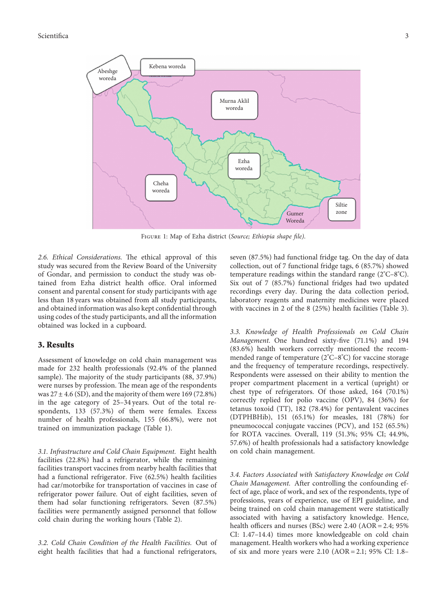<span id="page-2-0"></span>

Figure 1: Map of Ezha district (*Source; Ethiopia shape file)*.

2.6. *Ethical Considerations*. The ethical approval of this study was secured from the Review Board of the University of Gondar, and permission to conduct the study was obtained from Ezha district health office. Oral informed consent and parental consent for study participants with age less than 18 years was obtained from all study participants, and obtained information was also kept confidential through using codes of the study participants, and all the information obtained was locked in a cupboard.

#### **3. Results**

Assessment of knowledge on cold chain management was made for 232 health professionals (92.4% of the planned sample). The majority of the study participants (88, 37.9%) were nurses by profession. The mean age of the respondents was  $27 \pm 4.6$  (SD), and the majority of them were 169 (72.8%) in the age category of 25–34 years. Out of the total respondents, 133 (57.3%) of them were females. Excess number of health professionals, 155 (66.8%), were not trained on immunization package (Table [1\)](#page-3-0).

*3.1. Infrastructure and Cold Chain Equipment.* Eight health facilities (22.8%) had a refrigerator, while the remaining facilities transport vaccines from nearby health facilities that had a functional refrigerator. Five (62.5%) health facilities had car/motorbike for transportation of vaccines in case of refrigerator power failure. Out of eight facilities, seven of them had solar functioning refrigerators. Seven (87.5%) facilities were permanently assigned personnel that follow cold chain during the working hours (Table [2\)](#page-3-0).

*3.2. Cold Chain Condition of the Health Facilities.* Out of eight health facilities that had a functional refrigerators,

seven (87.5%) had functional fridge tag. On the day of data collection, out of 7 functional fridge tags, 6 (85.7%) showed temperature readings within the standard range (2° C–8°C). Six out of 7 (85.7%) functional fridges had two updated recordings every day. During the data collection period, laboratory reagents and maternity medicines were placed with vaccines in 2 of the 8 (25%) health facilities (Table [3](#page-3-0)).

*3.3. Knowledge of Health Professionals on Cold Chain Management.* One hundred sixty-five (71.1%) and 194 (83.6%) health workers correctly mentioned the recommended range of temperature (2°C–8°C) for vaccine storage and the frequency of temperature recordings, respectively. Respondents were assessed on their ability to mention the proper compartment placement in a vertical (upright) or chest type of refrigerators. Of those asked, 164 (70.1%) correctly replied for polio vaccine (OPV), 84 (36%) for tetanus toxoid (TT), 182 (78.4%) for pentavalent vaccines (DTPHBHib), 151 (65.1%) for measles, 181 (78%) for pneumococcal conjugate vaccines (PCV), and 152 (65.5%) for ROTA vaccines. Overall, 119 (51.3%; 95% CI; 44.9%, 57.6%) of health professionals had a satisfactory knowledge on cold chain management.

*3.4. Factors Associated with Satisfactory Knowledge on Cold Chain Management.* After controlling the confounding effect of age, place of work, and sex of the respondents, type of professions, years of experience, use of EPI guideline, and being trained on cold chain management were statistically associated with having a satisfactory knowledge. Hence, health officers and nurses (BSc) were  $2.40$  (AOR =  $2.4$ ; 95% CI: 1.47–14.4) times more knowledgeable on cold chain management. Health workers who had a working experience of six and more years were  $2.10$  (AOR =  $2.1$ ; 95% CI: 1.8–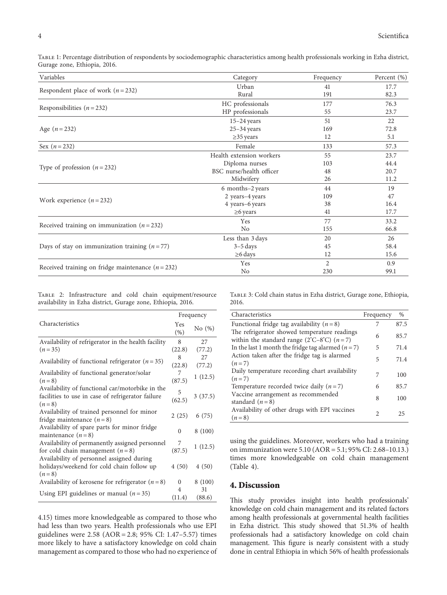<span id="page-3-0"></span>Table 1: Percentage distribution of respondents by sociodemographic characteristics among health professionals working in Ezha district, Gurage zone, Ethiopia, 2016.

| Variables                                           | Category<br>Frequency    |                | Percent (%) |  |
|-----------------------------------------------------|--------------------------|----------------|-------------|--|
|                                                     | Urban                    | 41             | 17.7        |  |
| Respondent place of work ( $n = 232$ )              | Rural                    | 191            | 82.3        |  |
|                                                     | HC professionals         | 177            | 76.3        |  |
| Responsibilities ( $n = 232$ )                      | HP professionals         | 55             | 23.7        |  |
|                                                     | $15-24$ years            | 51             | 22          |  |
| Age $(n = 232)$                                     | $25 - 34$ years          | 169            | 72.8        |  |
|                                                     | $\geq$ 35 years          | 12             | 5.1         |  |
| Sex $(n = 232)$                                     | Female                   | 133            | 57.3        |  |
|                                                     | Health extension workers | 55             | 23.7        |  |
|                                                     | Diploma nurses           | 103            | 44.4        |  |
| Type of profession $(n=232)$                        | BSC nurse/health officer | 48             | 20.7        |  |
|                                                     | Midwifery                | 26             | 11.2        |  |
|                                                     | 6 months-2 years         | 44             | 19          |  |
| Work experience $(n=232)$                           | 2 years-4 years          | 109            | 47          |  |
|                                                     | 4 years-6 years          | 38             | 16.4        |  |
|                                                     | $\geq$ 6 years           | 41             | 17.7        |  |
|                                                     | Yes                      | 77             | 33.2        |  |
| Received training on immunization ( $n = 232$ )     | N <sub>o</sub>           | 155            | 66.8        |  |
|                                                     | Less than 3 days         | 20             | 26          |  |
| Days of stay on immunization training $(n = 77)$    | $3-5$ days               | 45             | 58.4        |  |
|                                                     | $\geq$ 6 days            | 12             | 15.6        |  |
|                                                     | Yes                      | $\overline{c}$ | 0.9         |  |
| Received training on fridge maintenance $(n = 232)$ | N <sub>0</sub>           | 230            | 99.1        |  |

Table 2: Infrastructure and cold chain equipment/resource availability in Ezha district, Gurage zone, Ethiopia, 2016.

|                                                              | Frequency                |           |  |
|--------------------------------------------------------------|--------------------------|-----------|--|
| Characteristics                                              | Yes<br>(%)               | No $(\%)$ |  |
| Availability of refrigerator in the health facility          | 8                        | 27        |  |
| $(n=35)$                                                     | (22.8)                   | (77.2)    |  |
| Availability of functional refrigerator $(n=35)$             | 8<br>(22.8)              | 27        |  |
|                                                              |                          | (77.2)    |  |
| Availability of functional generator/solar                   | 7                        | 1(12.5)   |  |
| $(n=8)$                                                      | (87.5)                   |           |  |
| Availability of functional car/motorbike in the              | 5                        |           |  |
| facilities to use in case of refrigerator failure<br>$(n=8)$ |                          | 3(37.5)   |  |
| Availability of trained personnel for minor                  |                          |           |  |
| fridge maintenance $(n=8)$                                   | 2(25)                    | 6(75)     |  |
| Availability of spare parts for minor fridge                 |                          |           |  |
| maintenance $(n=8)$                                          | $\Omega$                 | 8 (100)   |  |
| Availability of permanently assigned personnel               | 7                        | 1(12.5)   |  |
| for cold chain management $(n=8)$                            | (87.5)                   |           |  |
| Availability of personnel assigned during                    |                          |           |  |
| holidays/weekend for cold chain follow up                    | 4(50)                    | 4(50)     |  |
| $(n=8)$                                                      |                          |           |  |
| Availability of kerosene for refrigerator $(n=8)$            | 0                        | 8(100)    |  |
| Using EPI guidelines or manual $(n=35)$                      | $\overline{\mathcal{A}}$ | 31        |  |
|                                                              | (11.4)                   | (88.6)    |  |

4.15) times more knowledgeable as compared to those who had less than two years. Health professionals who use EPI guidelines were 2.58 (AOR = 2.8; 95% CI: 1.47-5.57) times more likely to have a satisfactory knowledge on cold chain management as compared to those who had no experience of Table 3: Cold chain status in Ezha district, Gurage zone, Ethiopia, 2016.

| Characteristics                                                                                                     | Frequency | $\%$ |
|---------------------------------------------------------------------------------------------------------------------|-----------|------|
| Functional fridge tag availability $(n = 8)$                                                                        | 7         | 87.5 |
| The refrigerator showed temperature readings<br>within the standard range ( $2^{\circ}C - 8^{\circ}C$ ) ( $n = 7$ ) | 6         | 85.7 |
| In the last 1 month the fridge tag alarmed ( $n = 7$ )                                                              | 5         | 71.4 |
| Action taken after the fridge tag is alarmed<br>$(n=7)$                                                             | 5         | 71.4 |
| Daily temperature recording chart availability<br>$(n=7)$                                                           | 7         | 100  |
| Temperature recorded twice daily $(n=7)$                                                                            | 6         | 85.7 |
| Vaccine arrangement as recommended<br>standard $(n=8)$                                                              | 8         | 100  |
| Availability of other drugs with EPI vaccines<br>$(n=8)$                                                            | 2         | 25   |

using the guidelines. Moreover, workers who had a training on immunization were 5.10 (AOR � 5.1; 95% CI: 2.68–10.13.) times more knowledgeable on cold chain management (Table [4\)](#page-4-0).

### **4. Discussion**

This study provides insight into health professionals' knowledge on cold chain management and its related factors among health professionals at governmental health facilities in Ezha district. This study showed that 51.3% of health professionals had a satisfactory knowledge on cold chain management. This figure is nearly consistent with a study done in central Ethiopia in which 56% of health professionals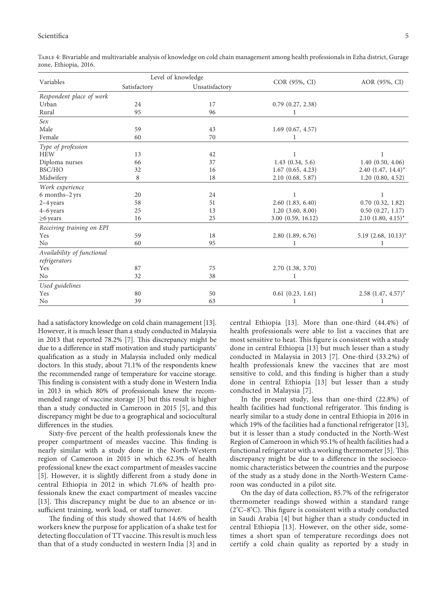#### <span id="page-4-0"></span>Scientifica <u>55 ani</u> 30 ani 31 ani 32 ani 33 ani 34 ani 35 ani 36 ani 37 ani 38 ani 39 ani 30 ani 31 ani 32 ani 33 ani 34 ani 35 ani 36 ani 37 ani 38 ani 39 ani 30 ani 31 ani 32 ani 33 ani 34 ani 35 ani 36 ani 37 ani 38 an

| Variables                  | Level of knowledge |                |                       |                          |
|----------------------------|--------------------|----------------|-----------------------|--------------------------|
|                            | Satisfactory       | Unsatisfactory | COR (95%, CI)         | AOR (95%, CI)            |
| Respondent place of work   |                    |                |                       |                          |
| Urban                      | 24                 | 17             | $0.79$ $(0.27, 2.38)$ |                          |
| Rural                      | 95                 | 96             |                       |                          |
| Sex                        |                    |                |                       |                          |
| Male                       | 59                 | 43             | $1.69$ $(0.67, 4.57)$ |                          |
| Female                     | 60                 | 70             |                       |                          |
| Type of profession         |                    |                |                       |                          |
| <b>HEW</b>                 | 13                 | 42             |                       |                          |
| Diploma nurses             | 66                 | 37             | 1.43(0.34, 5.6)       | 1.40(0.50, 4.06)         |
| BSC/HO                     | 32                 | 16             | $1.67$ $(0.65, 4.23)$ | $2.40$ $(1.47, 14.4)^*$  |
| Midwifery                  | 8                  | 18             | $2.10$ $(0.68, 5.87)$ | 1.20(0.80, 4.52)         |
| Work experience            |                    |                |                       |                          |
| 6 months-2 yrs             | 20                 | 24             |                       |                          |
| 2-4 years                  | 58                 | 51             | $2.60$ $(1.83, 6.40)$ | $0.70$ $(0.32, 1.82)$    |
| 4-6 years                  | 25                 | 13             | $1.20$ $(3.60, 8.00)$ | $0.50$ $(0.27, 1.17)$    |
| $\geq 6$ years             | 16                 | 25             | 3.00 (0.59, 16.12)    | $2.10$ $(1.80, 4.15)^*$  |
| Receiving training on EPI  |                    |                |                       |                          |
| Yes                        | 59                 | 18             | $2.80$ $(1.89, 6.76)$ | $5.19$ $(2.68, 10.13)^*$ |
| No                         | 60                 | 95             |                       | 1                        |
| Availability of functional |                    |                |                       |                          |
| refrigerators              |                    |                |                       |                          |
| Yes                        | 87                 | 75             | $2.70$ $(1.38, 3.70)$ |                          |
| No                         | 32                 | 38             |                       |                          |
| Used guidelines            |                    |                |                       |                          |
| Yes                        | 80                 | 50             | $0.61$ $(0.23, 1.61)$ | $2.58$ $(1.47, 4.57)^*$  |
| No                         | 39                 | 63             |                       | 1                        |

Table 4: Bivariable and multivariable analysis of knowledge on cold chain management among health professionals in Ezha district, Gurage zone, Ethiopia, 2016.

had a satisfactory knowledge on cold chain management [[13](#page-6-0)]. However, it is much lesser than a study conducted in Malaysia in 2013 that reported 78.2% [\[7\]](#page-6-0). This discrepancy might be due to a difference in staff motivation and study participants' qualification as a study in Malaysia included only medical doctors. In this study, about 71.1% of the respondents knew the recommended range of temperature for vaccine storage. This finding is consistent with a study done in Western India in 2013 in which 80% of professionals knew the recommended range of vaccine storage [[3](#page-6-0)] but this result is higher than a study conducted in Cameroon in 2015 [\[5](#page-6-0)], and this discrepancy might be due to a geographical and sociocultural differences in the studies.

Sixty-five percent of the health professionals knew the proper compartment of measles vaccine. This finding is nearly similar with a study done in the North-Western region of Cameroon in 2015 in which 62.3% of health professional knew the exact compartment of measles vaccine [\[5](#page-6-0)]. However, it is slightly different from a study done in central Ethiopia in 2012 in which 71.6% of health professionals knew the exact compartment of measles vaccine [\[13](#page-6-0)]. This discrepancy might be due to an absence or insufficient training, work load, or staff turnover.

The finding of this study showed that 14.6% of health workers knew the purpose for application of a shake test for detecting flocculation of TT vaccine. This result is much less than that of a study conducted in western India [[3](#page-6-0)] and in

central Ethiopia [[13\]](#page-6-0). More than one-third (44.4%) of health professionals were able to list a vaccines that are most sensitive to heat. This figure is consistent with a study done in central Ethiopia [\[13](#page-6-0)] but much lesser than a study conducted in Malaysia in 2013 [[7\]](#page-6-0). One-third (33.2%) of health professionals knew the vaccines that are most sensitive to cold, and this finding is higher than a study done in central Ethiopia [[13\]](#page-6-0) but lesser than a study conducted in Malaysia [[7\]](#page-6-0).

In the present study, less than one-third (22.8%) of health facilities had functional refrigerator. This finding is nearly similar to a study done in central Ethiopia in 2016 in which 19% of the facilities had a functional refrigerator [\[13](#page-6-0)], but it is lesser than a study conducted in the North-West Region of Cameroon in which 95.1% of health facilities had a functional refrigerator with a working thermometer  $[5]$  $[5]$  $[5]$ . This discrepancy might be due to a difference in the socioeconomic characteristics between the countries and the purpose of the study as a study done in the North-Western Cameroon was conducted in a pilot site.

On the day of data collection, 85.7% of the refrigerator thermometer readings showed within a standard range  $(2^{\circ}C - 8^{\circ}C)$ . This figure is consistent with a study conducted in Saudi Arabia [\[4\]](#page-6-0) but higher than a study conducted in central Ethiopia [[13](#page-6-0)]. However, on the other side, sometimes a short span of temperature recordings does not certify a cold chain quality as reported by a study in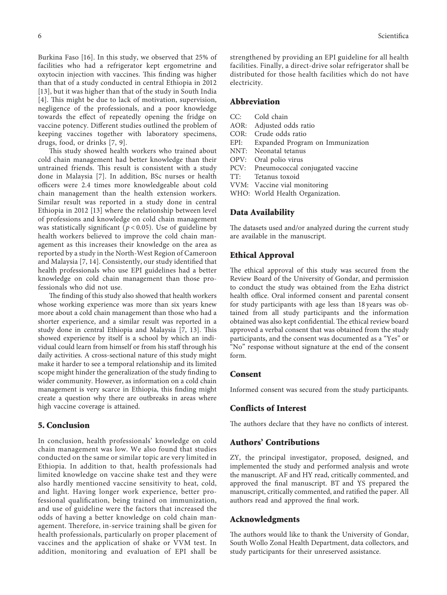Burkina Faso [\[16\]](#page-6-0). In this study, we observed that 25% of facilities who had a refrigerator kept ergometrine and oxytocin injection with vaccines. This finding was higher than that of a study conducted in central Ethiopia in 2012 [\[13\]](#page-6-0), but it was higher than that of the study in South India [\[4](#page-6-0)]. This might be due to lack of motivation, supervision,

negligence of the professionals, and a poor knowledge towards the effect of repeatedly opening the fridge on vaccine potency. Different studies outlined the problem of keeping vaccines together with laboratory specimens, drugs, food, or drinks [[7](#page-6-0), [9](#page-6-0)].

This study showed health workers who trained about cold chain management had better knowledge than their untrained friends. This result is consistent with a study done in Malaysia [\[7](#page-6-0)]. In addition, BSc nurses or health officers were 2.4 times more knowledgeable about cold chain management than the health extension workers. Similar result was reported in a study done in central Ethiopia in 2012 [[13](#page-6-0)] where the relationship between level of professions and knowledge on cold chain management was statistically significant (*p* < 0*.*05). Use of guideline by health workers believed to improve the cold chain management as this increases their knowledge on the area as reported by a study in the North-West Region of Cameroon and Malaysia [\[7](#page-6-0), [14](#page-6-0)]. Consistently, our study identified that health professionals who use EPI guidelines had a better knowledge on cold chain management than those professionals who did not use.

The finding of this study also showed that health workers whose working experience was more than six years knew more about a cold chain management than those who had a shorter experience, and a similar result was reported in a study done in central Ethiopia and Malaysia [[7, 13](#page-6-0)]. This showed experience by itself is a school by which an individual could learn from himself or from his staff through his daily activities. A cross-sectional nature of this study might make it harder to see a temporal relationship and its limited scope might hinder the generalization of the study finding to wider community. However, as information on a cold chain management is very scarce in Ethiopia, this finding might create a question why there are outbreaks in areas where high vaccine coverage is attained.

#### **5. Conclusion**

In conclusion, health professionals' knowledge on cold chain management was low. We also found that studies conducted on the same or similar topic are very limited in Ethiopia. In addition to that, health professionals had limited knowledge on vaccine shake test and they were also hardly mentioned vaccine sensitivity to heat, cold, and light. Having longer work experience, better professional qualification, being trained on immunization, and use of guideline were the factors that increased the odds of having a better knowledge on cold chain management. Therefore, in-service training shall be given for health professionals, particularly on proper placement of vaccines and the application of shake or VVM test. In addition, monitoring and evaluation of EPI shall be

strengthened by providing an EPI guideline for all health facilities. Finally, a direct-drive solar refrigerator shall be distributed for those health facilities which do not have electricity.

#### **Abbreviation**

- CC: Cold chain<br>AOR: Adiusted of
- Adjusted odds ratio
- COR: Crude odds ratio<br>EPI: Expanded Progra
- EPI: Expanded Program on Immunization<br>NNT: Neonatal tetanus
- NNT: Neonatal tetanus<br>OPV: Oral polio virus
- Oral polio virus
- PCV: Pneumococcal conjugated vaccine
- TT: Tetanus toxoid
- VVM: Vaccine vial monitoring
- WHO: World Health Organization.

#### **Data Availability**

The datasets used and/or analyzed during the current study are available in the manuscript.

#### **Ethical Approval**

The ethical approval of this study was secured from the Review Board of the University of Gondar, and permission to conduct the study was obtained from the Ezha district health office. Oral informed consent and parental consent for study participants with age less than 18 years was obtained from all study participants and the information obtained was also kept confidential. The ethical review board approved a verbal consent that was obtained from the study participants, and the consent was documented as a "Yes" or "No" response without signature at the end of the consent form.

#### **Consent**

Informed consent was secured from the study participants.

#### **Conflicts of Interest**

The authors declare that they have no conflicts of interest.

#### **Authors' Contributions**

ZY, the principal investigator, proposed, designed, and implemented the study and performed analysis and wrote the manuscript. AF and HY read, critically commented, and approved the final manuscript. BT and YS prepared the manuscript, critically commented, and ratified the paper. All authors read and approved the final work.

#### **Acknowledgments**

The authors would like to thank the University of Gondar, South Wollo Zonal Health Department, data collectors, and study participants for their unreserved assistance.